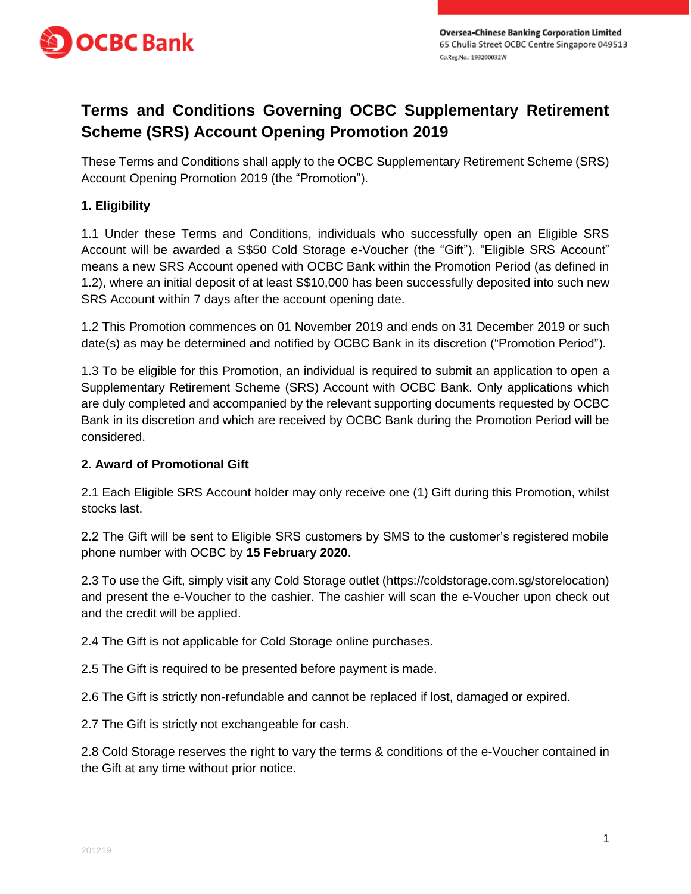

## **Terms and Conditions Governing OCBC Supplementary Retirement Scheme (SRS) Account Opening Promotion 2019**

These Terms and Conditions shall apply to the OCBC Supplementary Retirement Scheme (SRS) Account Opening Promotion 2019 (the "Promotion").

## **1. Eligibility**

1.1 Under these Terms and Conditions, individuals who successfully open an Eligible SRS Account will be awarded a S\$50 Cold Storage e-Voucher (the "Gift"). "Eligible SRS Account" means a new SRS Account opened with OCBC Bank within the Promotion Period (as defined in 1.2), where an initial deposit of at least S\$10,000 has been successfully deposited into such new SRS Account within 7 days after the account opening date.

1.2 This Promotion commences on 01 November 2019 and ends on 31 December 2019 or such date(s) as may be determined and notified by OCBC Bank in its discretion ("Promotion Period").

1.3 To be eligible for this Promotion, an individual is required to submit an application to open a Supplementary Retirement Scheme (SRS) Account with OCBC Bank. Only applications which are duly completed and accompanied by the relevant supporting documents requested by OCBC Bank in its discretion and which are received by OCBC Bank during the Promotion Period will be considered.

## **2. Award of Promotional Gift**

2.1 Each Eligible SRS Account holder may only receive one (1) Gift during this Promotion, whilst stocks last.

2.2 The Gift will be sent to Eligible SRS customers by SMS to the customer's registered mobile phone number with OCBC by **15 February 2020**.

2.3 To use the Gift, simply visit any Cold Storage outlet (https://coldstorage.com.sg/storelocation) and present the e-Voucher to the cashier. The cashier will scan the e-Voucher upon check out and the credit will be applied.

2.4 The Gift is not applicable for Cold Storage online purchases.

2.5 The Gift is required to be presented before payment is made.

2.6 The Gift is strictly non-refundable and cannot be replaced if lost, damaged or expired.

2.7 The Gift is strictly not exchangeable for cash.

2.8 Cold Storage reserves the right to vary the terms & conditions of the e-Voucher contained in the Gift at any time without prior notice.